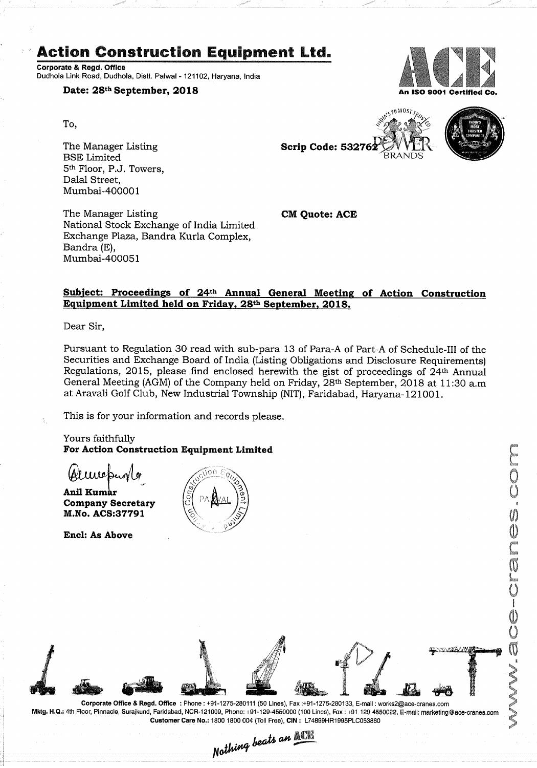# Action Construction Equipment Ltd.

Corporate & Regd. Office Dudhola Link Road, Dudhola, Distt. Palwai - 121102, Haryana. india

# Date: 28<sup>th</sup> September, 2018 An ISO 9001 Certified Co.

To,

The Manager Listing The Manager Listing Scrip Code: 53276 BSE Limited 5th Floor, P.J. Towers, Dalal Street, Mumbai-4000OI

The Manager Listing **CM Quote: ACE** National Stock Exchange of India Limited Exchange Plaza, Bandra Kurla Complex, Bandra (E), Mumbai-400051

# Subiect: Proceedings of 24th Annual General Meeting of Action Construction Equipment Limited held on Friday, 28th September, 2018.

Dear Sir,

Pursuant to Regulation 30 read with sub-para 13 of Para-A of Part-A of Schedule-III of the Securities and Exchange Board of India (Listing Obligations and Disclosure Requirements) Regulations, 2015, please find enclosed herewith the gist of proceedings of 24th Annual General Meeting (AGM) of the Company held on Friday, 28<sup>th</sup> September, 2018 at 11:30 a.m at Aravali Golf Club, New Industrial Township (NIT), Faridabad, Haryana—121001.

This is for your information and records please.

Yours faithfully For Action Construction Equipment Limited

Anil Kumar Company Secretary M.No. ACS:37791

Encl: As Above





S<sub>10</sub> MOST<sub>TRU</sub>





Customer Care No.: 1800 1800 004 (Toll Free), CIN : L74899HR1995PLC053860 an <u>NCT</u>  $\frac{1}{211 \cdot 1275 \cdot 280111}$  (50 Lines), Fax: +5<br>000, Phono: 191-129-4550000 (100<br>1800 1800 004 (Toll Free), CIN: L<br>Nothing beats an MC

Corporate Office & Regd. Office : Phone: +91-1275-280111 (50 Lines), Fax :+91-1275-280133, E-mail :work52@ace-cranes.com Mktg. H.Q.: 4th Floor, Pinnacle, Suraikund, Faridabad, NOR-121009. Phone: i91-129-4650000 (100 Lines). Fax : I91 <sup>129</sup> 4550023. E-mail; marketing@ace-cranes.com

 $\mathbf{E}$ ,  $\mathbf{Z}$ 

.1 <sup>r</sup> ,

1 **julie 11 de januar 11 de januar 11 de januar 11 de januar 11 de januar 11 de januar 11 de januar 11 de januar 11 de januar 11 de januar 11 de januar 11 de januar 11 de januar 11 de januar 11 de januar 11 de januar 11 de** 

:

 $\mathcal{L}$ 

g

.

 $\sum_{i=1}^n$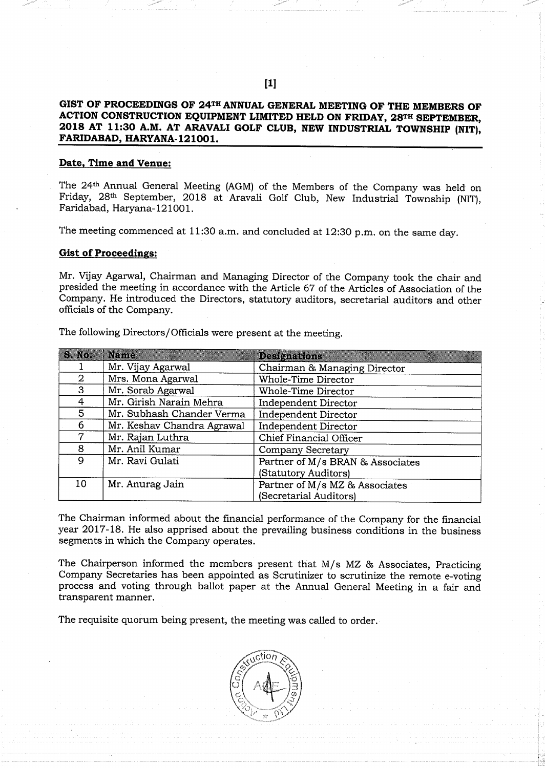# GIST OF PROCEEDINGS OF 24TH ANNUAL GENERAL MEETING OF THE MEMBERS OF ACTION CONSTRUCTION EQUIPMENT LIMITED HELD ON FRIDAY, 28TH SEPTEMBER, 2018 AT 11:30 A.M. AT ARAVALI GOLF CLUB, NEW INDUSTRIAL TOWNSHIP (NIT), FARIDABAD, HARYANA-121001.

# Date, Time and Venue:

The 24<sup>th</sup> Annual General Meeting (AGM) of the Members of the Company was held on Friday, 28th September, 2018 at Aravali Golf Club, New Industrial Township (NIT), Faridabad, Haryana-121001.

The meeting commenced at 11:30 a.m. and concluded at 12:30 p.m. on the same day.

#### Gist of Proceedings:

Mr. Vijay Agarwal, Chairman and Managing Director of the Company took the chair and presided the meeting in accordance with the Article 67 of the Articles of Association of the Company. He introduced the Directors, statutory auditors, secretarial auditors and other officials of the Company.

| S. No.         | Name                       | <b>Designations</b>              |
|----------------|----------------------------|----------------------------------|
|                | Mr. Vijay Agarwal          | Chairman & Managing Director     |
| $\overline{2}$ | Mrs. Mona Agarwal          | Whole-Time Director              |
| 3              | Mr. Sorab Agarwal          | Whole-Time Director              |
| 4              | Mr. Girish Narain Mehra    | Independent Director             |
| 5              | Mr. Subhash Chander Verma  | Independent Director             |
| 6              | Mr. Keshav Chandra Agrawal | Independent Director             |
| 7              | Mr. Rajan Luthra           | Chief Financial Officer          |
| 8              | Mr. Anil Kumar             | <b>Company Secretary</b>         |
| 9              | Mr. Ravi Gulati            | Partner of M/s BRAN & Associates |
|                |                            | (Statutory Auditors)             |
| 10             | Mr. Anurag Jain            | Partner of M/s MZ & Associates   |
|                |                            | (Secretarial Auditors)           |

The following Directors/Officials were present at the meeting.

The Chairman informed about the financial performance of the Company for the financial year 2017-18. He also apprised about the prevailing business conditions in the business segments in which the Company operates.

The Chairperson informed the members present that  $M/s$  MZ  $\&$  Associates, Practicing Company Secretaries has been appointed as Scrutinizer to scrutinize the remote e-voting process and voting through ballot paper at the Annual General Meeting in a fair and transparent manner.

The requisite quorum being present, the meeting was called to order.

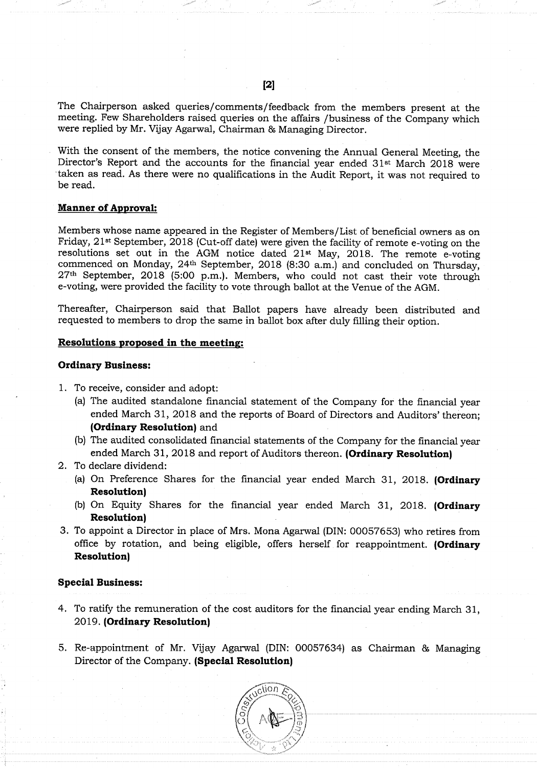The Chairperson asked queries/comments/feedback from the members present at the meeting. Few Shareholders raised queries on the affairs /business of the Company which were replied by Mr. Vijay Agarwal, Chairman & Managing Director.

. With the consent of the members, the notice convening the Annual General Meeting, the Director's Report and the accounts for the financial year ended  $31<sup>st</sup>$  March 2018 were taken as read. As there were no qualifications in the Audit Report, it was not required to be read.

## **Manner of Approval:**

Members Whose name appeared in the Register of Members/ List of beneficial owners as on Friday, 21<sup>st</sup> September, 2018 (Cut-off date) were given the facility of remote e-voting on the resolutions set out in the AGM notice dated 21<sup>st</sup> May, 2018. The remote e-voting commenced on Monday, 24th September, 2018 (8:30 a.m.) and concluded on Thursday, 27th September, 2018 (5:00 p.m.). Members, who could not cast their vote through e-voting, were provided the facility to vote through ballot at the Venue of the AGM.

Thereafter, Chairperson said that Ballot papers have already been distributed and requested to members to drop the same in ballot box after duly filling their option.

#### Resolutions proposed in the meeting;

## Ordinary Business:

- 1. To receive, consider and adopt:
	- (a) The audited standalone financial statement of the Company for the financial year ended March 31, 2018 and the reports of Board of Directors and Auditors' thereon; (Ordinary Resolution) and
	- (b) The audited consolidated financial statements of the Company for the financial year ended March 31, 2018 and report of Auditors thereon. (Ordinary Resolution)
- 2. To declare dividend:
	- (a) On Preference Shares for the financial year ended March 31, 2018. (Ordinary Resolution)
	- (b) On Equity Shares for the financial year ended March 31, 2018. (Ordinary Resolution)
- 3. To appoint a Director in place of Mrs. Mona Agarwal (DIN: 00057653) who retires from office by rotation, and being eligible, offers herself for reappointment. (Ordinary Resolution)

#### Special Business:

- 4. To ratify the remuneration of the cost auditors for the financial year ending March 31, 2019. (Ordinary Resolution)
- 5. Re-appointment of Mr. Vijay Agarwal (DIN: 00057634) as Chairman & Managing Director of the Company. (Special Resolution)